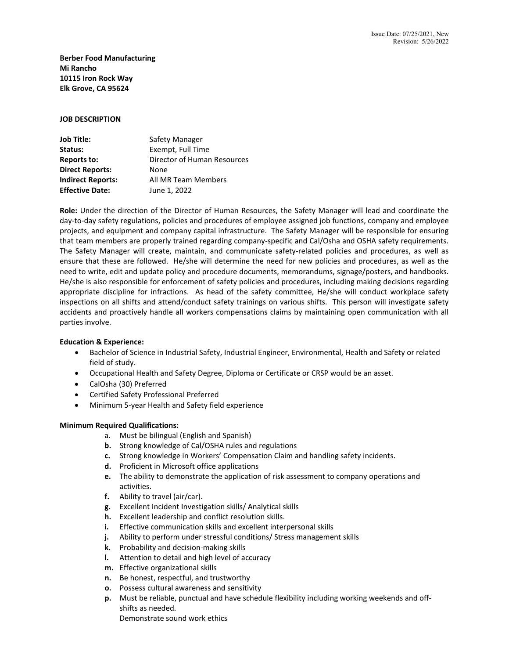**Berber Food Manufacturing Mi Rancho 10115 Iron Rock Way Elk Grove, CA 95624**

#### **JOB DESCRIPTION**

| <b>Job Title:</b>        | Safety Manager              |
|--------------------------|-----------------------------|
| Status:                  | Exempt, Full Time           |
| <b>Reports to:</b>       | Director of Human Resources |
| <b>Direct Reports:</b>   | None                        |
| <b>Indirect Reports:</b> | All MR Team Members         |
| <b>Effective Date:</b>   | June 1, 2022                |

**Role:** Under the direction of the Director of Human Resources, the Safety Manager will lead and coordinate the day-to-day safety regulations, policies and procedures of employee assigned job functions, company and employee projects, and equipment and company capital infrastructure. The Safety Manager will be responsible for ensuring that team members are properly trained regarding company-specific and Cal/Osha and OSHA safety requirements. The Safety Manager will create, maintain, and communicate safety-related policies and procedures, as well as ensure that these are followed. He/she will determine the need for new policies and procedures, as well as the need to write, edit and update policy and procedure documents, memorandums, signage/posters, and handbooks. He/she is also responsible for enforcement of safety policies and procedures, including making decisions regarding appropriate discipline for infractions. As head of the safety committee, He/she will conduct workplace safety inspections on all shifts and attend/conduct safety trainings on various shifts. This person will investigate safety accidents and proactively handle all workers compensations claims by maintaining open communication with all parties involve.

# **Education & Experience:**

- Bachelor of Science in Industrial Safety, Industrial Engineer, Environmental, Health and Safety or related field of study.
- Occupational Health and Safety Degree, Diploma or Certificate or CRSP would be an asset.
- CalOsha (30) Preferred
- Certified Safety Professional Preferred
- Minimum 5-year Health and Safety field experience

# **Minimum Required Qualifications:**

- a. Must be bilingual (English and Spanish)
- **b.** Strong knowledge of Cal/OSHA rules and regulations
- **c.** Strong knowledge in Workers' Compensation Claim and handling safety incidents.
- **d.** Proficient in Microsoft office applications
- **e.** The ability to demonstrate the application of risk assessment to company operations and activities.
- **f.** Ability to travel (air/car).
- **g.** Excellent Incident Investigation skills/ Analytical skills
- **h.** Excellent leadership and conflict resolution skills.
- **i.** Effective communication skills and excellent interpersonal skills
- **j.** Ability to perform under stressful conditions/ Stress management skills
- **k.** Probability and decision-making skills
- **l.** Attention to detail and high level of accuracy
- **m.** Effective organizational skills
- **n.** Be honest, respectful, and trustworthy
- **o.** Possess cultural awareness and sensitivity
- **p.** Must be reliable, punctual and have schedule flexibility including working weekends and offshifts as needed.

Demonstrate sound work ethics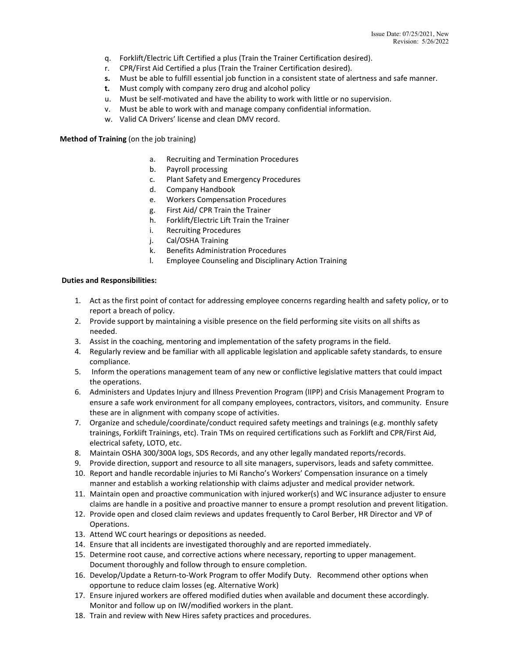- q. Forklift/Electric Lift Certified a plus (Train the Trainer Certification desired).
- r. CPR/First Aid Certified a plus (Train the Trainer Certification desired).
- **s.** Must be able to fulfill essential job function in a consistent state of alertness and safe manner.
- **t.** Must comply with company zero drug and alcohol policy
- u. Must be self-motivated and have the ability to work with little or no supervision.
- v. Must be able to work with and manage company confidential information.
- w. Valid CA Drivers' license and clean DMV record.

**Method of Training** (on the job training)

- a. Recruiting and Termination Procedures
- b. Payroll processing
- c. Plant Safety and Emergency Procedures
- d. Company Handbook
- e. Workers Compensation Procedures
- g. First Aid/ CPR Train the Trainer
- h. Forklift/Electric Lift Train the Trainer
- i. Recruiting Procedures
- j. Cal/OSHA Training
- k. Benefits Administration Procedures
- l. Employee Counseling and Disciplinary Action Training

### **Duties and Responsibilities:**

- 1. Act as the first point of contact for addressing employee concerns regarding health and safety policy, or to report a breach of policy.
- 2. Provide support by maintaining a visible presence on the field performing site visits on all shifts as needed.
- 3. Assist in the coaching, mentoring and implementation of the safety programs in the field.
- 4. Regularly review and be familiar with all applicable legislation and applicable safety standards, to ensure compliance.
- 5. Inform the operations management team of any new or conflictive legislative matters that could impact the operations.
- 6. Administers and Updates Injury and Illness Prevention Program (IIPP) and Crisis Management Program to ensure a safe work environment for all company employees, contractors, visitors, and community. Ensure these are in alignment with company scope of activities.
- 7. Organize and schedule/coordinate/conduct required safety meetings and trainings (e.g. monthly safety trainings, Forklift Trainings, etc). Train TMs on required certifications such as Forklift and CPR/First Aid, electrical safety, LOTO, etc.
- 8. Maintain OSHA 300/300A logs, SDS Records, and any other legally mandated reports/records.
- 9. Provide direction, support and resource to all site managers, supervisors, leads and safety committee.
- 10. Report and handle recordable injuries to Mi Rancho's Workers' Compensation insurance on a timely manner and establish a working relationship with claims adjuster and medical provider network.
- 11. Maintain open and proactive communication with injured worker(s) and WC insurance adjuster to ensure claims are handle in a positive and proactive manner to ensure a prompt resolution and prevent litigation.
- 12. Provide open and closed claim reviews and updates frequently to Carol Berber, HR Director and VP of Operations.
- 13. Attend WC court hearings or depositions as needed.
- 14. Ensure that all incidents are investigated thoroughly and are reported immediately.
- 15. Determine root cause, and corrective actions where necessary, reporting to upper management. Document thoroughly and follow through to ensure completion.
- 16. Develop/Update a Return-to-Work Program to offer Modify Duty. Recommend other options when opportune to reduce claim losses (eg. Alternative Work)
- 17. Ensure injured workers are offered modified duties when available and document these accordingly. Monitor and follow up on IW/modified workers in the plant.
- 18. Train and review with New Hires safety practices and procedures.